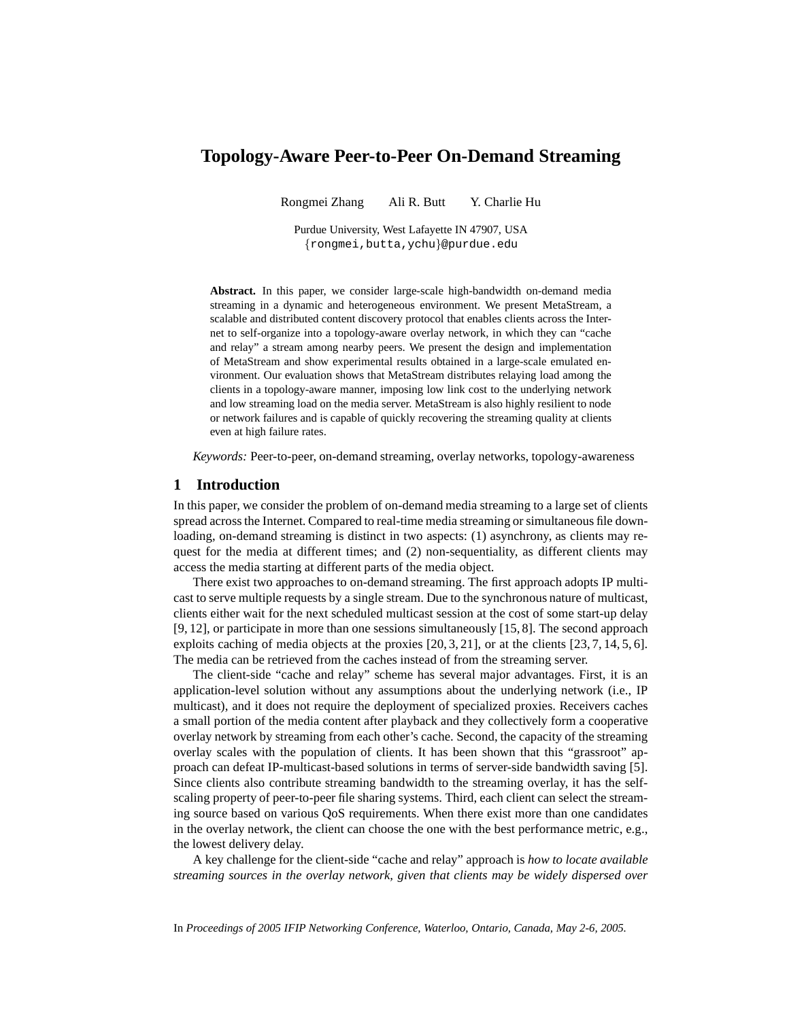# **Topology-Aware Peer-to-Peer On-Demand Streaming**

Rongmei Zhang Ali R. Butt Y. Charlie Hu

Purdue University, West Lafayette IN 47907, USA {rongmei,butta,ychu}@purdue.edu

**Abstract.** In this paper, we consider large-scale high-bandwidth on-demand media streaming in a dynamic and heterogeneous environment. We present MetaStream, a scalable and distributed content discovery protocol that enables clients across the Internet to self-organize into a topology-aware overlay network, in which they can "cache and relay" a stream among nearby peers. We present the design and implementation of MetaStream and show experimental results obtained in a large-scale emulated environment. Our evaluation shows that MetaStream distributes relaying load among the clients in a topology-aware manner, imposing low link cost to the underlying network and low streaming load on the media server. MetaStream is also highly resilient to node or network failures and is capable of quickly recovering the streaming quality at clients even at high failure rates.

*Keywords:* Peer-to-peer, on-demand streaming, overlay networks, topology-awareness

#### **1 Introduction**

In this paper, we consider the problem of on-demand media streaming to a large set of clients spread across the Internet. Compared to real-time media streaming or simultaneous file downloading, on-demand streaming is distinct in two aspects: (1) asynchrony, as clients may request for the media at different times; and (2) non-sequentiality, as different clients may access the media starting at different parts of the media object.

There exist two approaches to on-demand streaming. The first approach adopts IP multicast to serve multiple requests by a single stream. Due to the synchronous nature of multicast, clients either wait for the next scheduled multicast session at the cost of some start-up delay [9, 12], or participate in more than one sessions simultaneously [15, 8]. The second approach exploits caching of media objects at the proxies  $[20, 3, 21]$ , or at the clients  $[23, 7, 14, 5, 6]$ . The media can be retrieved from the caches instead of from the streaming server.

The client-side "cache and relay" scheme has several major advantages. First, it is an application-level solution without any assumptions about the underlying network (i.e., IP multicast), and it does not require the deployment of specialized proxies. Receivers caches a small portion of the media content after playback and they collectively form a cooperative overlay network by streaming from each other's cache. Second, the capacity of the streaming overlay scales with the population of clients. It has been shown that this "grassroot" approach can defeat IP-multicast-based solutions in terms of server-side bandwidth saving [5]. Since clients also contribute streaming bandwidth to the streaming overlay, it has the selfscaling property of peer-to-peer file sharing systems. Third, each client can select the streaming source based on various QoS requirements. When there exist more than one candidates in the overlay network, the client can choose the one with the best performance metric, e.g., the lowest delivery delay.

A key challenge for the client-side "cache and relay" approach is *how to locate available streaming sources in the overlay network, given that clients may be widely dispersed over*

In *Proceedings of 2005 IFIP Networking Conference, Waterloo, Ontario, Canada, May 2-6, 2005.*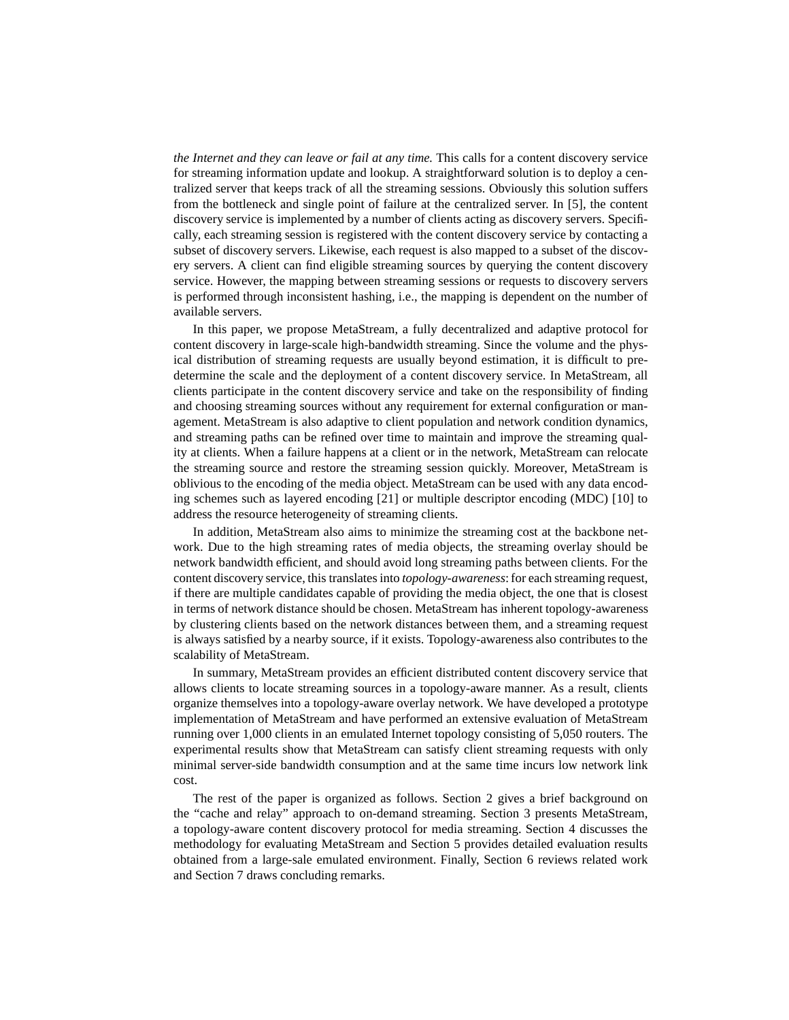*the Internet and they can leave or fail at any time.* This calls for a content discovery service for streaming information update and lookup. A straightforward solution is to deploy a centralized server that keeps track of all the streaming sessions. Obviously this solution suffers from the bottleneck and single point of failure at the centralized server. In [5], the content discovery service is implemented by a number of clients acting as discovery servers. Specifically, each streaming session is registered with the content discovery service by contacting a subset of discovery servers. Likewise, each request is also mapped to a subset of the discovery servers. A client can find eligible streaming sources by querying the content discovery service. However, the mapping between streaming sessions or requests to discovery servers is performed through inconsistent hashing, i.e., the mapping is dependent on the number of available servers.

In this paper, we propose MetaStream, a fully decentralized and adaptive protocol for content discovery in large-scale high-bandwidth streaming. Since the volume and the physical distribution of streaming requests are usually beyond estimation, it is difficult to predetermine the scale and the deployment of a content discovery service. In MetaStream, all clients participate in the content discovery service and take on the responsibility of finding and choosing streaming sources without any requirement for external configuration or management. MetaStream is also adaptive to client population and network condition dynamics, and streaming paths can be refined over time to maintain and improve the streaming quality at clients. When a failure happens at a client or in the network, MetaStream can relocate the streaming source and restore the streaming session quickly. Moreover, MetaStream is oblivious to the encoding of the media object. MetaStream can be used with any data encoding schemes such as layered encoding [21] or multiple descriptor encoding (MDC) [10] to address the resource heterogeneity of streaming clients.

In addition, MetaStream also aims to minimize the streaming cost at the backbone network. Due to the high streaming rates of media objects, the streaming overlay should be network bandwidth efficient, and should avoid long streaming paths between clients. For the content discovery service, this translates into *topology-awareness*:for each streaming request, if there are multiple candidates capable of providing the media object, the one that is closest in terms of network distance should be chosen. MetaStream has inherent topology-awareness by clustering clients based on the network distances between them, and a streaming request is always satisfied by a nearby source, if it exists. Topology-awareness also contributes to the scalability of MetaStream.

In summary, MetaStream provides an efficient distributed content discovery service that allows clients to locate streaming sources in a topology-aware manner. As a result, clients organize themselves into a topology-aware overlay network. We have developed a prototype implementation of MetaStream and have performed an extensive evaluation of MetaStream running over 1,000 clients in an emulated Internet topology consisting of 5,050 routers. The experimental results show that MetaStream can satisfy client streaming requests with only minimal server-side bandwidth consumption and at the same time incurs low network link cost.

The rest of the paper is organized as follows. Section 2 gives a brief background on the "cache and relay" approach to on-demand streaming. Section 3 presents MetaStream, a topology-aware content discovery protocol for media streaming. Section 4 discusses the methodology for evaluating MetaStream and Section 5 provides detailed evaluation results obtained from a large-sale emulated environment. Finally, Section 6 reviews related work and Section 7 draws concluding remarks.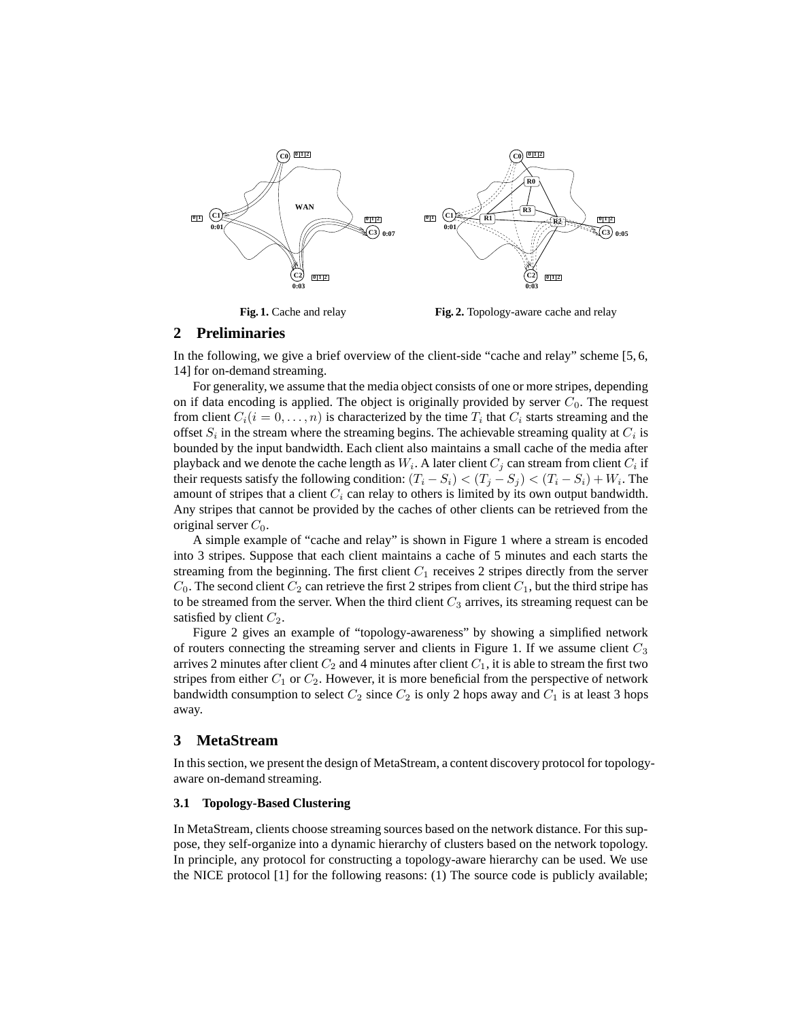

**Fig. 1.** Cache and relay

**Fig. 2.** Topology-aware cache and relay

#### **2 Preliminaries**

In the following, we give a brief overview of the client-side "cache and relay" scheme [5, 6, 14] for on-demand streaming.

For generality, we assume that the media object consists of one or more stripes, depending on if data encoding is applied. The object is originally provided by server  $C_0$ . The request from client  $C_i(i = 0, \ldots, n)$  is characterized by the time  $T_i$  that  $C_i$  starts streaming and the offset  $S_i$  in the stream where the streaming begins. The achievable streaming quality at  $C_i$  is bounded by the input bandwidth. Each client also maintains a small cache of the media after playback and we denote the cache length as  $W_i$ . A later client  $C_j$  can stream from client  $C_i$  if their requests satisfy the following condition:  $(T_i - S_i) < (T_j - S_j) < (T_i - S_i) + W_i$ . The amount of stripes that a client  $C_i$  can relay to others is limited by its own output bandwidth. Any stripes that cannot be provided by the caches of other clients can be retrieved from the original server  $C_0$ .

A simple example of "cache and relay" is shown in Figure 1 where a stream is encoded into 3 stripes. Suppose that each client maintains a cache of 5 minutes and each starts the streaming from the beginning. The first client  $C_1$  receives 2 stripes directly from the server  $C_0$ . The second client  $C_2$  can retrieve the first 2 stripes from client  $C_1$ , but the third stripe has to be streamed from the server. When the third client  $C_3$  arrives, its streaming request can be satisfied by client  $C_2$ .

Figure 2 gives an example of "topology-awareness" by showing a simplified network of routers connecting the streaming server and clients in Figure 1. If we assume client  $C_3$ arrives 2 minutes after client  $C_2$  and 4 minutes after client  $C_1$ , it is able to stream the first two stripes from either  $C_1$  or  $C_2$ . However, it is more beneficial from the perspective of network bandwidth consumption to select  $C_2$  since  $C_2$  is only 2 hops away and  $C_1$  is at least 3 hops away.

#### **3 MetaStream**

In this section, we present the design of MetaStream, a content discovery protocol for topologyaware on-demand streaming.

### **3.1 Topology-Based Clustering**

In MetaStream, clients choose streaming sources based on the network distance. For this suppose, they self-organize into a dynamic hierarchy of clusters based on the network topology. In principle, any protocol for constructing a topology-aware hierarchy can be used. We use the NICE protocol [1] for the following reasons: (1) The source code is publicly available;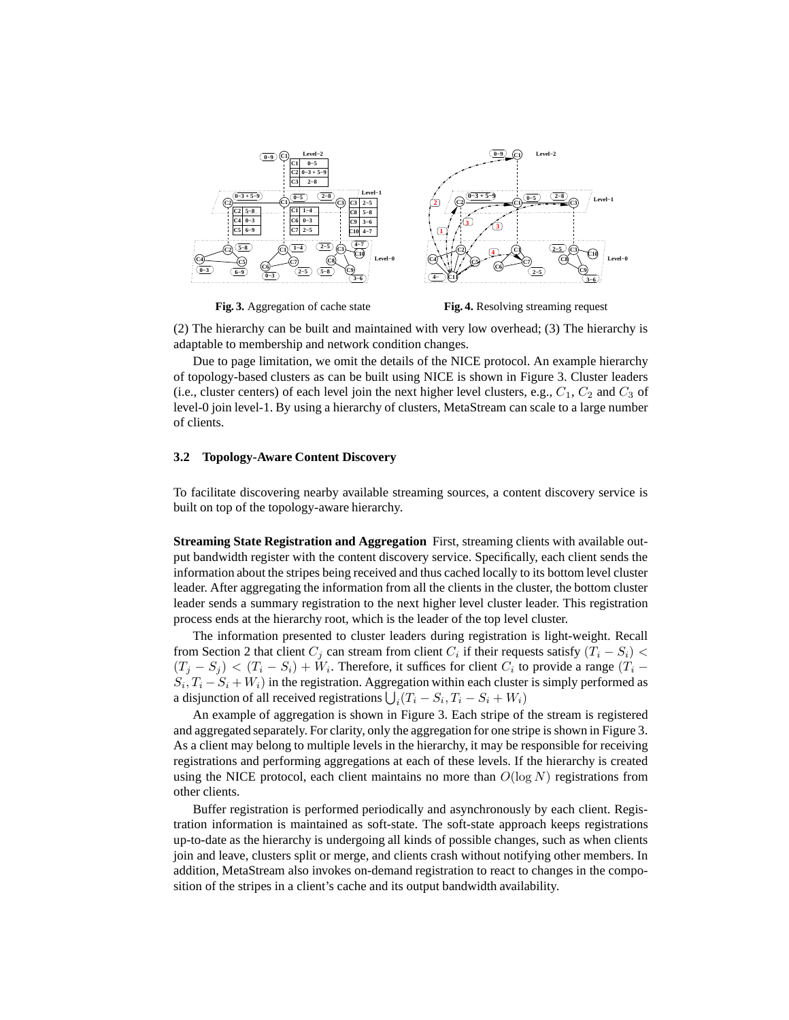

**Fig. 3.** Aggregation of cache state **Fig. 4.** Resolving streaming request

(2) The hierarchy can be built and maintained with very low overhead; (3) The hierarchy is adaptable to membership and network condition changes.

Due to page limitation, we omit the details of the NICE protocol. An example hierarchy of topology-based clusters as can be built using NICE is shown in Figure 3. Cluster leaders (i.e., cluster centers) of each level join the next higher level clusters, e.g.,  $C_1$ ,  $C_2$  and  $C_3$  of level-0 join level-1. By using a hierarchy of clusters, MetaStream can scale to a large number of clients.

#### **3.2 Topology-Aware Content Discovery**

To facilitate discovering nearby available streaming sources, a content discovery service is built on top of the topology-aware hierarchy.

**Streaming State Registration and Aggregation** First, streaming clients with available output bandwidth register with the content discovery service. Specifically, each client sends the information about the stripes being received and thus cached locally to its bottom level cluster leader. After aggregating the information from all the clients in the cluster, the bottom cluster leader sends a summary registration to the next higher level cluster leader. This registration process ends at the hierarchy root, which is the leader of the top level cluster.

The information presented to cluster leaders during registration is light-weight. Recall from Section 2 that client  $C_j$  can stream from client  $C_i$  if their requests satisfy  $(T_i - S_i)$  $(T_j - S_j) < (T_i - S_i) + W_i$ . Therefore, it suffices for client  $C_i$  to provide a range  $(T_i - S_i)$  $S_i$ ,  $T_i - S_i + W_i$ ) in the registration. Aggregation within each cluster is simply performed as a disjunction of all received registrations  $\bigcup_i (T_i - S_i, T_i - S_i + W_i)$ 

An example of aggregation is shown in Figure 3. Each stripe of the stream is registered and aggregated separately. For clarity, only the aggregation for one stripe is shown in Figure 3. As a client may belong to multiple levels in the hierarchy, it may be responsible for receiving registrations and performing aggregations at each of these levels. If the hierarchy is created using the NICE protocol, each client maintains no more than  $O(\log N)$  registrations from other clients.

Buffer registration is performed periodically and asynchronously by each client. Registration information is maintained as soft-state. The soft-state approach keeps registrations up-to-date as the hierarchy is undergoing all kinds of possible changes, such as when clients join and leave, clusters split or merge, and clients crash without notifying other members. In addition, MetaStream also invokes on-demand registration to react to changes in the composition of the stripes in a client's cache and its output bandwidth availability.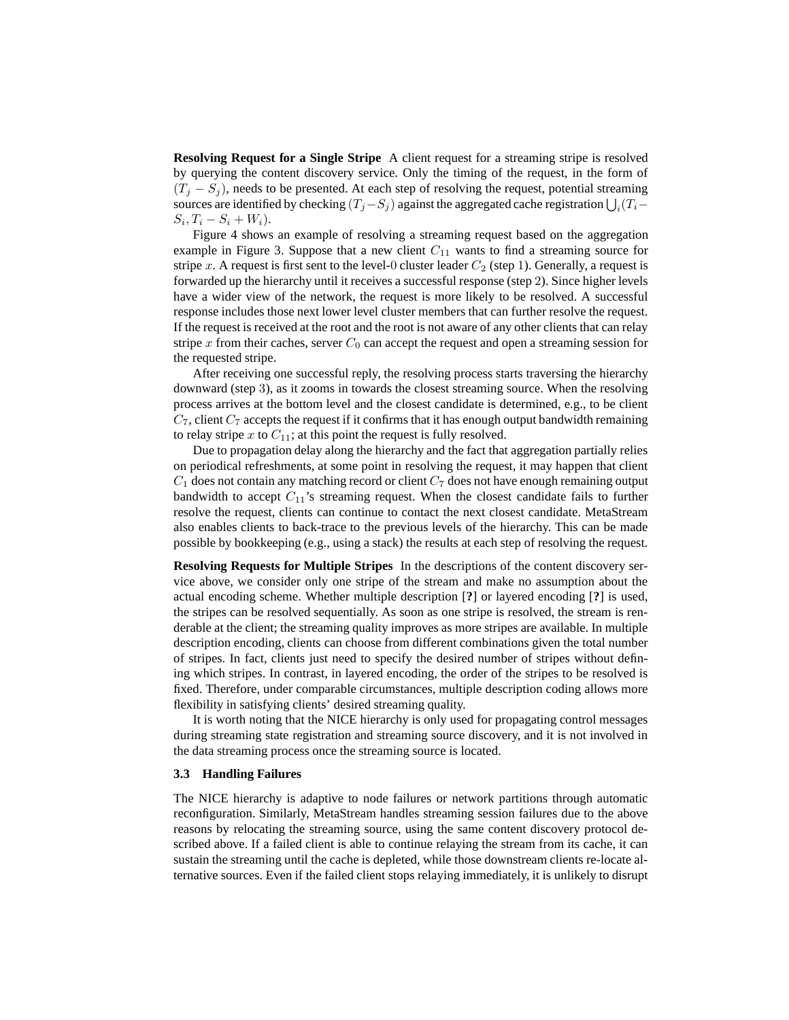**Resolving Request for a Single Stripe** A client request for a streaming stripe is resolved by querying the content discovery service. Only the timing of the request, in the form of  $(T<sub>j</sub> - S<sub>j</sub>)$ , needs to be presented. At each step of resolving the request, potential streaming sources are identified by checking  $(T_j - S_j)$  against the aggregated cache registration  $\bigcup_i (T_i - S_j)$  $S_i, T_i - S_i + W_i).$ 

Figure 4 shows an example of resolving a streaming request based on the aggregation example in Figure 3. Suppose that a new client  $C_{11}$  wants to find a streaming source for stripe x. A request is first sent to the level-0 cluster leader  $C_2$  (step 1). Generally, a request is forwarded up the hierarchy until it receives a successful response (step 2). Since higher levels have a wider view of the network, the request is more likely to be resolved. A successful response includes those next lower level cluster members that can further resolve the request. If the request is received at the root and the root is not aware of any other clients that can relay stripe x from their caches, server  $C_0$  can accept the request and open a streaming session for the requested stripe.

After receiving one successful reply, the resolving process starts traversing the hierarchy downward (step 3), as it zooms in towards the closest streaming source. When the resolving process arrives at the bottom level and the closest candidate is determined, e.g., to be client  $C_7$ , client  $C_7$  accepts the request if it confirms that it has enough output bandwidth remaining to relay stripe  $x$  to  $C_{11}$ ; at this point the request is fully resolved.

Due to propagation delay along the hierarchy and the fact that aggregation partially relies on periodical refreshments, at some point in resolving the request, it may happen that client  $C_1$  does not contain any matching record or client  $C_7$  does not have enough remaining output bandwidth to accept  $C_{11}$ 's streaming request. When the closest candidate fails to further resolve the request, clients can continue to contact the next closest candidate. MetaStream also enables clients to back-trace to the previous levels of the hierarchy. This can be made possible by bookkeeping (e.g., using a stack) the results at each step of resolving the request.

**Resolving Requests for Multiple Stripes** In the descriptions of the content discovery service above, we consider only one stripe of the stream and make no assumption about the actual encoding scheme. Whether multiple description [**?**] or layered encoding [**?**] is used, the stripes can be resolved sequentially. As soon as one stripe is resolved, the stream is renderable at the client; the streaming quality improves as more stripes are available. In multiple description encoding, clients can choose from different combinations given the total number of stripes. In fact, clients just need to specify the desired number of stripes without defining which stripes. In contrast, in layered encoding, the order of the stripes to be resolved is fixed. Therefore, under comparable circumstances, multiple description coding allows more flexibility in satisfying clients' desired streaming quality.

It is worth noting that the NICE hierarchy is only used for propagating control messages during streaming state registration and streaming source discovery, and it is not involved in the data streaming process once the streaming source is located.

#### **3.3 Handling Failures**

The NICE hierarchy is adaptive to node failures or network partitions through automatic reconfiguration. Similarly, MetaStream handles streaming session failures due to the above reasons by relocating the streaming source, using the same content discovery protocol described above. If a failed client is able to continue relaying the stream from its cache, it can sustain the streaming until the cache is depleted, while those downstream clients re-locate alternative sources. Even if the failed client stops relaying immediately, it is unlikely to disrupt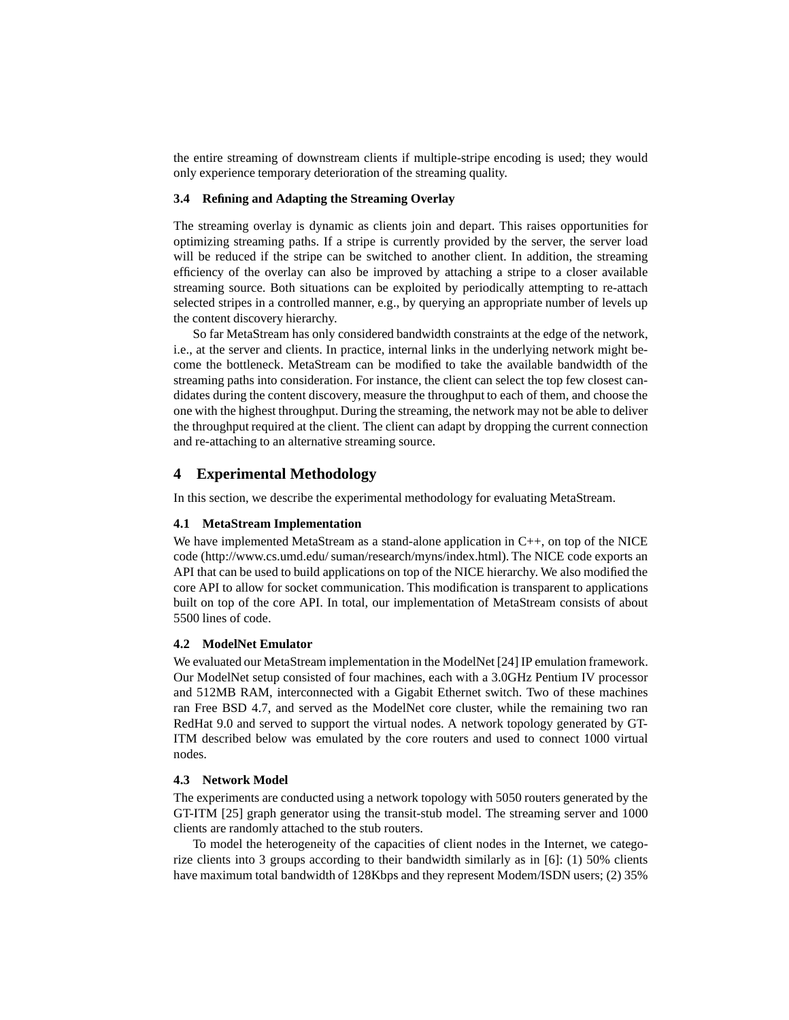the entire streaming of downstream clients if multiple-stripe encoding is used; they would only experience temporary deterioration of the streaming quality.

### **3.4 Refining and Adapting the Streaming Overlay**

The streaming overlay is dynamic as clients join and depart. This raises opportunities for optimizing streaming paths. If a stripe is currently provided by the server, the server load will be reduced if the stripe can be switched to another client. In addition, the streaming efficiency of the overlay can also be improved by attaching a stripe to a closer available streaming source. Both situations can be exploited by periodically attempting to re-attach selected stripes in a controlled manner, e.g., by querying an appropriate number of levels up the content discovery hierarchy.

So far MetaStream has only considered bandwidth constraints at the edge of the network, i.e., at the server and clients. In practice, internal links in the underlying network might become the bottleneck. MetaStream can be modified to take the available bandwidth of the streaming paths into consideration. For instance, the client can select the top few closest candidates during the content discovery, measure the throughput to each of them, and choose the one with the highest throughput. During the streaming, the network may not be able to deliver the throughput required at the client. The client can adapt by dropping the current connection and re-attaching to an alternative streaming source.

# **4 Experimental Methodology**

In this section, we describe the experimental methodology for evaluating MetaStream.

#### **4.1 MetaStream Implementation**

We have implemented MetaStream as a stand-alone application in C++, on top of the NICE code (http://www.cs.umd.edu/ suman/research/myns/index.html). The NICE code exports an API that can be used to build applications on top of the NICE hierarchy. We also modified the core API to allow for socket communication. This modification is transparent to applications built on top of the core API. In total, our implementation of MetaStream consists of about 5500 lines of code.

# **4.2 ModelNet Emulator**

We evaluated our MetaStream implementation in the ModelNet [24] IP emulation framework. Our ModelNet setup consisted of four machines, each with a 3.0GHz Pentium IV processor and 512MB RAM, interconnected with a Gigabit Ethernet switch. Two of these machines ran Free BSD 4.7, and served as the ModelNet core cluster, while the remaining two ran RedHat 9.0 and served to support the virtual nodes. A network topology generated by GT-ITM described below was emulated by the core routers and used to connect 1000 virtual nodes.

#### **4.3 Network Model**

The experiments are conducted using a network topology with 5050 routers generated by the GT-ITM [25] graph generator using the transit-stub model. The streaming server and 1000 clients are randomly attached to the stub routers.

To model the heterogeneity of the capacities of client nodes in the Internet, we categorize clients into 3 groups according to their bandwidth similarly as in [6]: (1) 50% clients have maximum total bandwidth of 128Kbps and they represent Modem/ISDN users; (2) 35%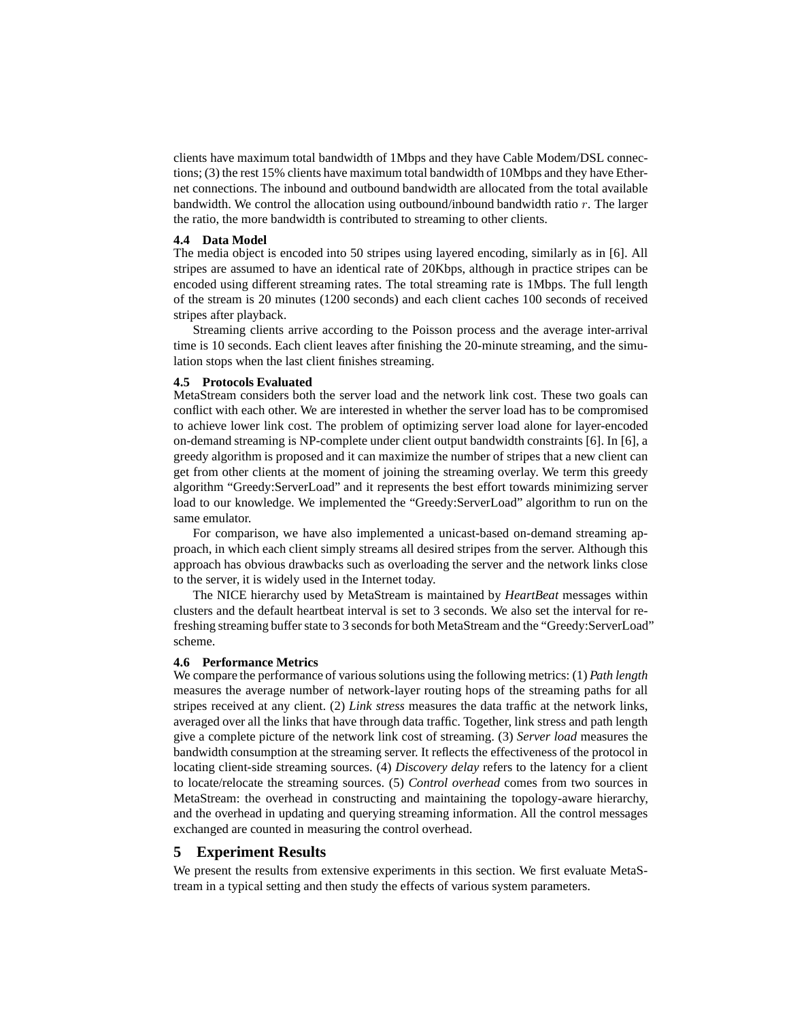clients have maximum total bandwidth of 1Mbps and they have Cable Modem/DSL connections; (3) the rest 15% clients have maximum total bandwidth of 10Mbps and they have Ethernet connections. The inbound and outbound bandwidth are allocated from the total available bandwidth. We control the allocation using outbound/inbound bandwidth ratio r. The larger the ratio, the more bandwidth is contributed to streaming to other clients.

#### **4.4 Data Model**

The media object is encoded into 50 stripes using layered encoding, similarly as in [6]. All stripes are assumed to have an identical rate of 20Kbps, although in practice stripes can be encoded using different streaming rates. The total streaming rate is 1Mbps. The full length of the stream is 20 minutes (1200 seconds) and each client caches 100 seconds of received stripes after playback.

Streaming clients arrive according to the Poisson process and the average inter-arrival time is 10 seconds. Each client leaves after finishing the 20-minute streaming, and the simulation stops when the last client finishes streaming.

#### **4.5 Protocols Evaluated**

MetaStream considers both the server load and the network link cost. These two goals can conflict with each other. We are interested in whether the server load has to be compromised to achieve lower link cost. The problem of optimizing server load alone for layer-encoded on-demand streaming is NP-complete under client output bandwidth constraints [6]. In [6], a greedy algorithm is proposed and it can maximize the number of stripes that a new client can get from other clients at the moment of joining the streaming overlay. We term this greedy algorithm "Greedy:ServerLoad" and it represents the best effort towards minimizing server load to our knowledge. We implemented the "Greedy:ServerLoad" algorithm to run on the same emulator.

For comparison, we have also implemented a unicast-based on-demand streaming approach, in which each client simply streams all desired stripes from the server. Although this approach has obvious drawbacks such as overloading the server and the network links close to the server, it is widely used in the Internet today.

The NICE hierarchy used by MetaStream is maintained by *HeartBeat* messages within clusters and the default heartbeat interval is set to 3 seconds. We also set the interval for refreshing streaming buffer state to 3 seconds for both MetaStream and the "Greedy:ServerLoad" scheme.

#### **4.6 Performance Metrics**

We compare the performance of various solutions using the following metrics: (1) *Path length* measures the average number of network-layer routing hops of the streaming paths for all stripes received at any client. (2) *Link stress* measures the data traffic at the network links, averaged over all the links that have through data traffic. Together, link stress and path length give a complete picture of the network link cost of streaming. (3) *Server load* measures the bandwidth consumption at the streaming server. It reflects the effectiveness of the protocol in locating client-side streaming sources. (4) *Discovery delay* refers to the latency for a client to locate/relocate the streaming sources. (5) *Control overhead* comes from two sources in MetaStream: the overhead in constructing and maintaining the topology-aware hierarchy, and the overhead in updating and querying streaming information. All the control messages exchanged are counted in measuring the control overhead.

### **5 Experiment Results**

We present the results from extensive experiments in this section. We first evaluate MetaStream in a typical setting and then study the effects of various system parameters.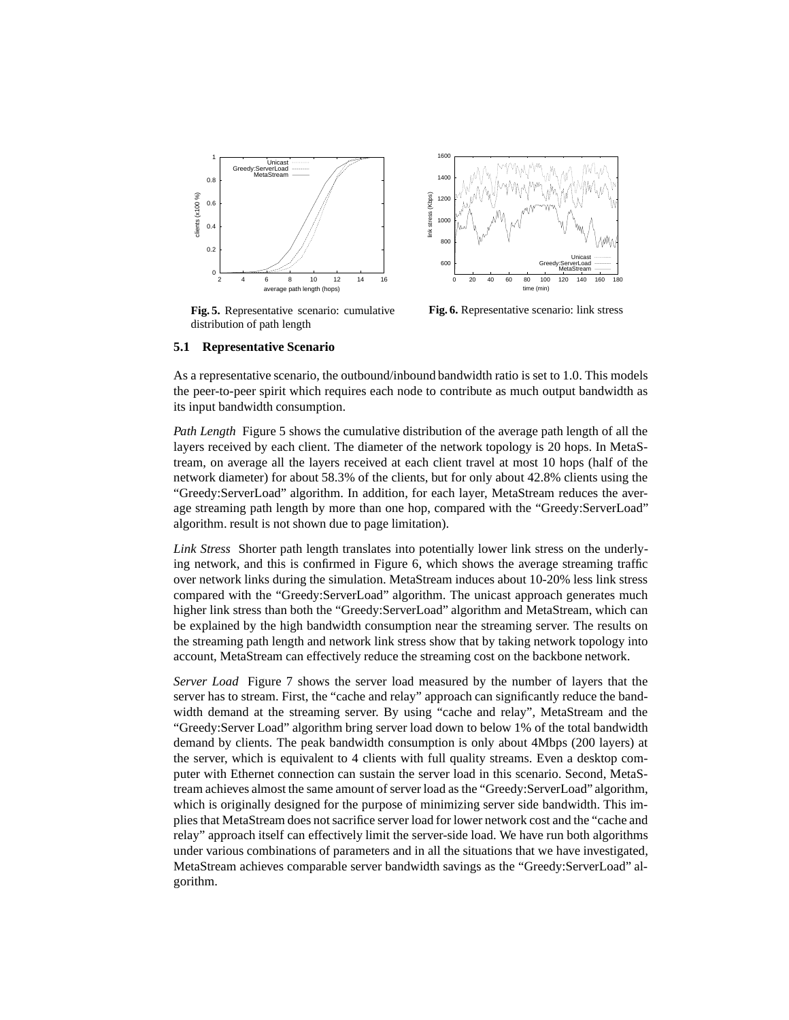



**Fig. 5.** Representative scenario: cumulative distribution of path length

**Fig. 6.** Representative scenario: link stress

#### **5.1 Representative Scenario**

As a representative scenario, the outbound/inbound bandwidth ratio is set to 1.0. This models the peer-to-peer spirit which requires each node to contribute as much output bandwidth as its input bandwidth consumption.

*Path Length* Figure 5 shows the cumulative distribution of the average path length of all the layers received by each client. The diameter of the network topology is 20 hops. In MetaStream, on average all the layers received at each client travel at most 10 hops (half of the network diameter) for about 58.3% of the clients, but for only about 42.8% clients using the "Greedy:ServerLoad" algorithm. In addition, for each layer, MetaStream reduces the average streaming path length by more than one hop, compared with the "Greedy:ServerLoad" algorithm. result is not shown due to page limitation).

*Link Stress* Shorter path length translates into potentially lower link stress on the underlying network, and this is confirmed in Figure 6, which shows the average streaming traffic over network links during the simulation. MetaStream induces about 10-20% less link stress compared with the "Greedy:ServerLoad" algorithm. The unicast approach generates much higher link stress than both the "Greedy:ServerLoad" algorithm and MetaStream, which can be explained by the high bandwidth consumption near the streaming server. The results on the streaming path length and network link stress show that by taking network topology into account, MetaStream can effectively reduce the streaming cost on the backbone network.

*Server Load* Figure 7 shows the server load measured by the number of layers that the server has to stream. First, the "cache and relay" approach can significantly reduce the bandwidth demand at the streaming server. By using "cache and relay", MetaStream and the "Greedy:Server Load" algorithm bring server load down to below 1% of the total bandwidth demand by clients. The peak bandwidth consumption is only about 4Mbps (200 layers) at the server, which is equivalent to 4 clients with full quality streams. Even a desktop computer with Ethernet connection can sustain the server load in this scenario. Second, MetaStream achieves almost the same amount of server load as the "Greedy:ServerLoad" algorithm, which is originally designed for the purpose of minimizing server side bandwidth. This implies that MetaStream does notsacrifice server load for lower network cost and the "cache and relay" approach itself can effectively limit the server-side load. We have run both algorithms under various combinations of parameters and in all the situations that we have investigated, MetaStream achieves comparable server bandwidth savings as the "Greedy:ServerLoad" algorithm.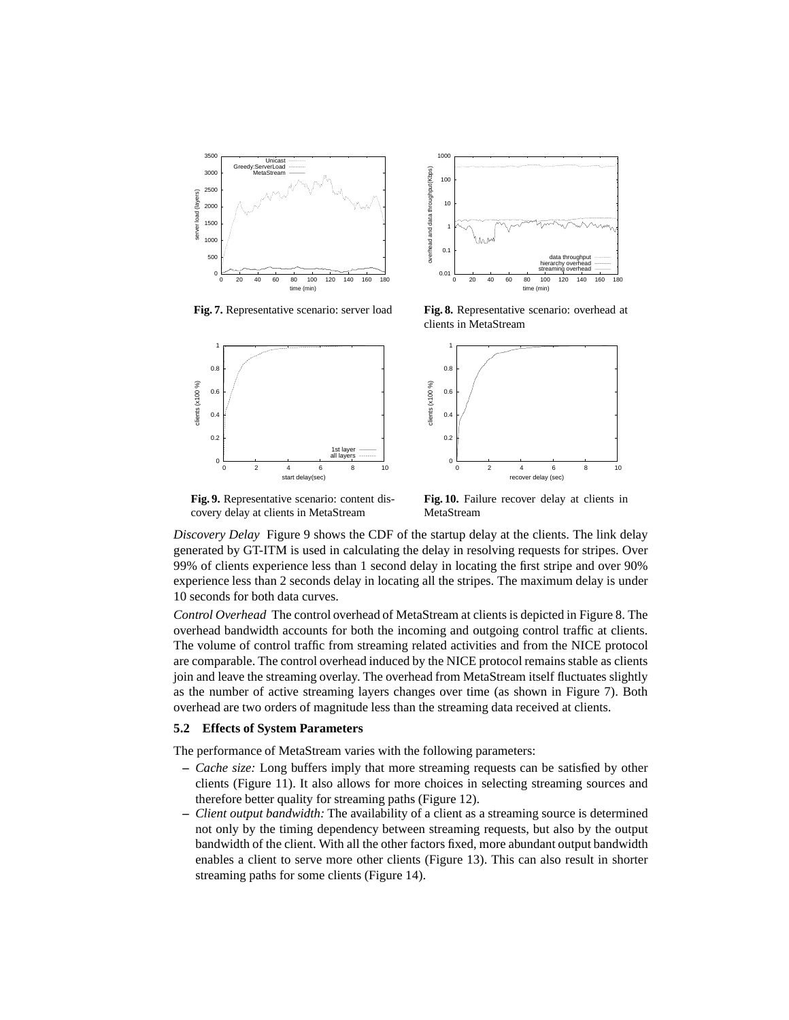



**Fig. 7.** Representative scenario: server load

**Fig. 8.** Representative scenario: overhead at clients in MetaStream



**Fig. 9.** Representative scenario: content discovery delay at clients in MetaStream

**Fig. 10.** Failure recover delay at clients in MetaStream

*Discovery Delay* Figure 9 shows the CDF of the startup delay at the clients. The link delay generated by GT-ITM is used in calculating the delay in resolving requests for stripes. Over 99% of clients experience less than 1 second delay in locating the first stripe and over 90% experience less than 2 seconds delay in locating all the stripes. The maximum delay is under 10 seconds for both data curves.

*Control Overhead* The control overhead of MetaStream at clients is depicted in Figure 8. The overhead bandwidth accounts for both the incoming and outgoing control traffic at clients. The volume of control traffic from streaming related activities and from the NICE protocol are comparable. The control overhead induced by the NICE protocol remains stable as clients join and leave the streaming overlay. The overhead from MetaStream itself fluctuates slightly as the number of active streaming layers changes over time (as shown in Figure 7). Both overhead are two orders of magnitude less than the streaming data received at clients.

#### **5.2 Effects of System Parameters**

The performance of MetaStream varies with the following parameters:

- **–** *Cache size:* Long buffers imply that more streaming requests can be satisfied by other clients (Figure 11). It also allows for more choices in selecting streaming sources and therefore better quality for streaming paths (Figure 12).
- **–** *Client output bandwidth:* The availability of a client as a streaming source is determined not only by the timing dependency between streaming requests, but also by the output bandwidth of the client. With all the other factors fixed, more abundant output bandwidth enables a client to serve more other clients (Figure 13). This can also result in shorter streaming paths for some clients (Figure 14).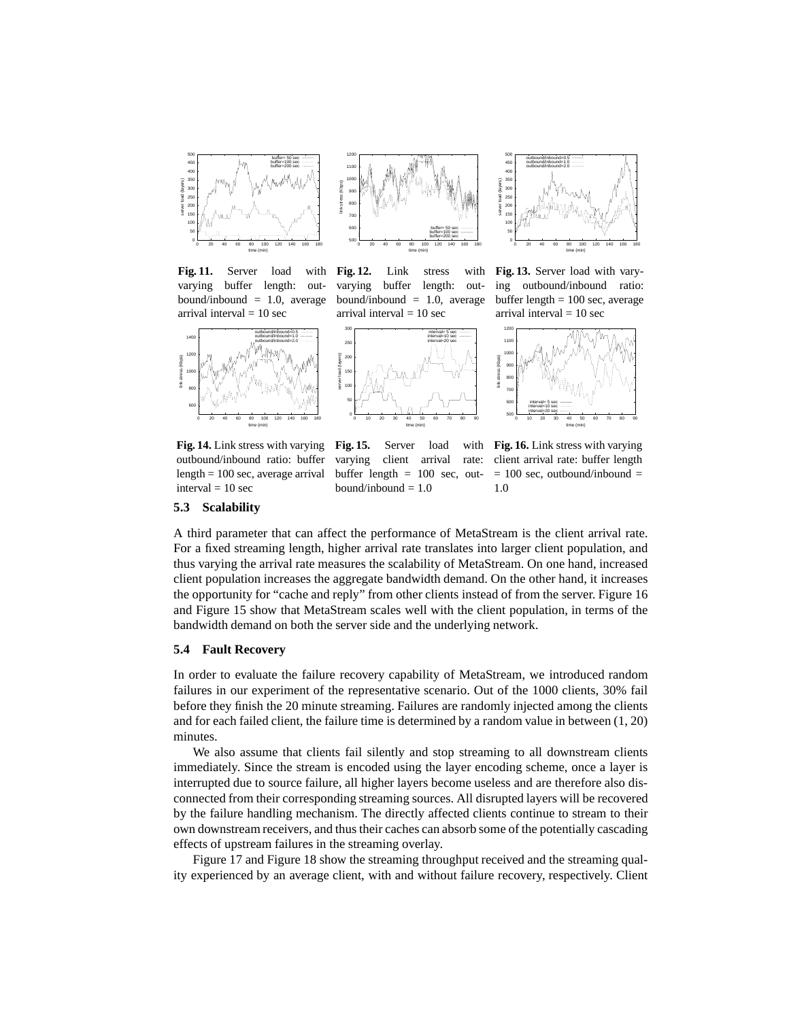



**Fig. 11.** Server load with varying buffer length: outbound/inbound  $= 1.0$ , average arrival interval  $= 10$  sec

outbound/inbound=0.5 outbound/inbound=1.0 outbound/inbound=2.0

**Fig. 12.** Link stress with varying buffer length: outbound/inbound  $= 1.0$ , average arrival interval  $= 10$  sec



0 0 20 40 60 80 100 120 140 160 180 time (min) **Fig. 13.** Server load with varying outbound/inbound ratio: buffer length  $= 100$  sec, average arrival interval  $= 10$  sec 1200

outbound/inbound=0.5 outbound/inbound=1.0 outbound/inbound=2.0

server load (layers)



**Fig. 14.** Link stress with varying outbound/inbound ratio: buffer length = 100 sec, average arrival interval = 10 sec

0 20 40 60 80 100 120 140 160 180

time (min)

**Fig. 15.** Server load with varying client arrival rate: buffer length = 100 sec, outbound/inbound  $= 1.0$ 

**Fig. 16.** Link stress with varying client arrival rate: buffer length  $= 100$  sec, outbound/inbound  $=$ 1.0

#### **5.3 Scalability**

link stress (Kbps)

A third parameter that can affect the performance of MetaStream is the client arrival rate. For a fixed streaming length, higher arrival rate translates into larger client population, and thus varying the arrival rate measures the scalability of MetaStream. On one hand, increased client population increases the aggregate bandwidth demand. On the other hand, it increases the opportunity for "cache and reply" from other clients instead of from the server. Figure 16 and Figure 15 show that MetaStream scales well with the client population, in terms of the bandwidth demand on both the server side and the underlying network.

#### **5.4 Fault Recovery**

In order to evaluate the failure recovery capability of MetaStream, we introduced random failures in our experiment of the representative scenario. Out of the 1000 clients, 30% fail before they finish the 20 minute streaming. Failures are randomly injected among the clients and for each failed client, the failure time is determined by a random value in between (1, 20) minutes.

We also assume that clients fail silently and stop streaming to all downstream clients immediately. Since the stream is encoded using the layer encoding scheme, once a layer is interrupted due to source failure, all higher layers become useless and are therefore also disconnected from their corresponding streaming sources. All disrupted layers will be recovered by the failure handling mechanism. The directly affected clients continue to stream to their own downstream receivers, and thus their caches can absorb some of the potentially cascading effects of upstream failures in the streaming overlay.

Figure 17 and Figure 18 show the streaming throughput received and the streaming quality experienced by an average client, with and without failure recovery, respectively. Client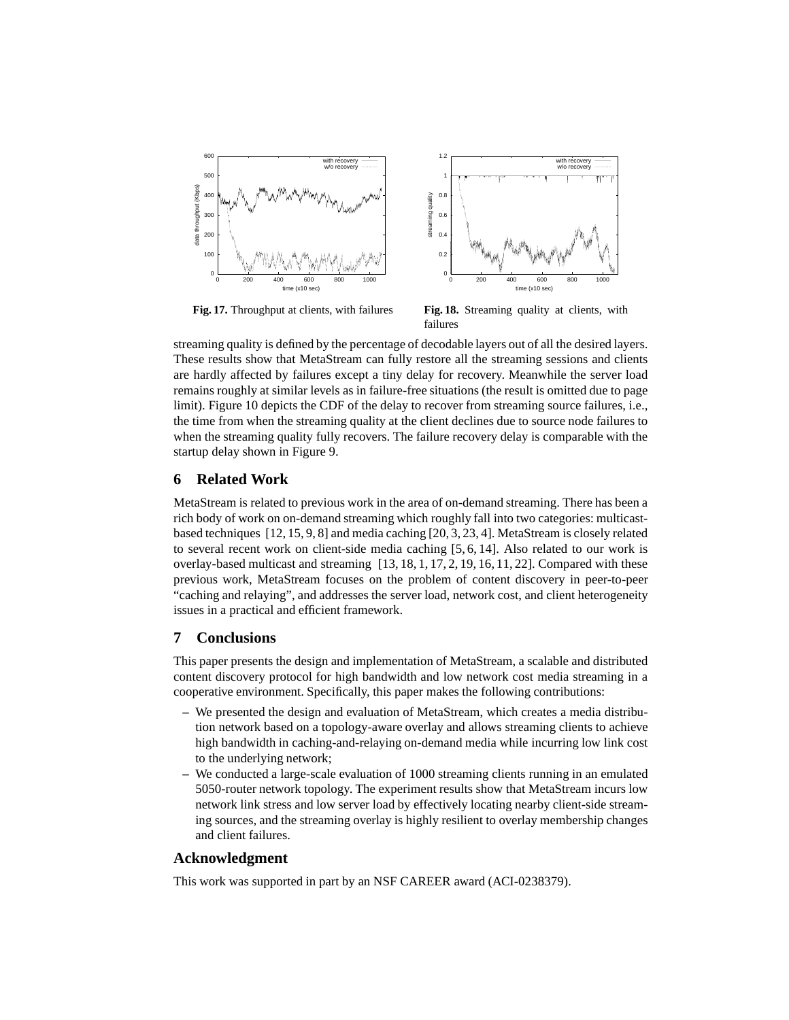

**Fig. 17.** Throughput at clients, with failures

**Fig. 18.** Streaming quality at clients, with failures

streaming quality is defined by the percentage of decodable layers out of all the desired layers. These results show that MetaStream can fully restore all the streaming sessions and clients are hardly affected by failures except a tiny delay for recovery. Meanwhile the server load remains roughly at similar levels as in failure-free situations (the result is omitted due to page limit). Figure 10 depicts the CDF of the delay to recover from streaming source failures, i.e., the time from when the streaming quality at the client declines due to source node failures to when the streaming quality fully recovers. The failure recovery delay is comparable with the startup delay shown in Figure 9.

# **6 Related Work**

MetaStream is related to previous work in the area of on-demand streaming. There has been a rich body of work on on-demand streaming which roughly fall into two categories: multicastbased techniques [12, 15, 9, 8] and media caching [20, 3, 23, 4]. MetaStream is closely related to several recent work on client-side media caching [5, 6, 14]. Also related to our work is overlay-based multicast and streaming [13, 18, 1, 17, 2, 19, 16, 11, 22]. Compared with these previous work, MetaStream focuses on the problem of content discovery in peer-to-peer "caching and relaying", and addresses the server load, network cost, and client heterogeneity issues in a practical and efficient framework.

# **7 Conclusions**

This paper presents the design and implementation of MetaStream, a scalable and distributed content discovery protocol for high bandwidth and low network cost media streaming in a cooperative environment. Specifically, this paper makes the following contributions:

- **–** We presented the design and evaluation of MetaStream, which creates a media distribution network based on a topology-aware overlay and allows streaming clients to achieve high bandwidth in caching-and-relaying on-demand media while incurring low link cost to the underlying network;
- **–** We conducted a large-scale evaluation of 1000 streaming clients running in an emulated 5050-router network topology. The experiment results show that MetaStream incurs low network link stress and low server load by effectively locating nearby client-side streaming sources, and the streaming overlay is highly resilient to overlay membership changes and client failures.

# **Acknowledgment**

This work was supported in part by an NSF CAREER award (ACI-0238379).